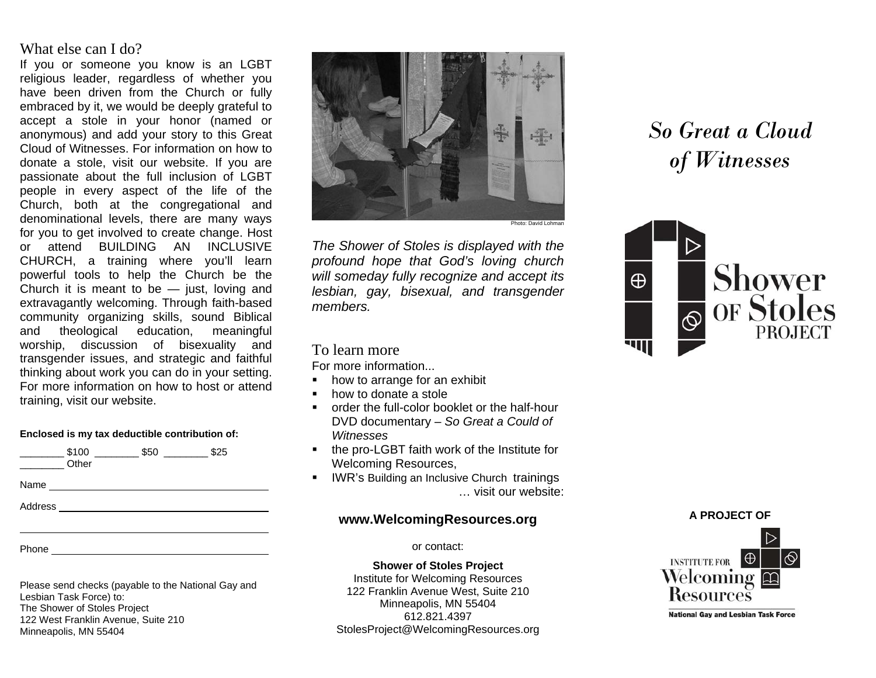## What else can I do?

If you or someone you know is an LGBT religious leader, regardless of whether you have been driven from the Church or fully embraced by it, we would be deeply grateful to accept a stole in your honor (named or anonymous) and add your story to this Great Cloud of Witnesses. For information on how to donate a stole, visit our website. If you are passionate about the full inclusion of LGBT people in every aspect of the life of the Church, both at the congregational and denominational levels, there are many ways for you to get involved to create change. Host or attend BUILDING AN INCLUSIVE CHURCH, a training where you'll learn powerful tools to help the Church be the Church it is meant to be  $-$  just, loving and extravagantly welcoming. Through faith-based community organizing skills, sound Biblical and theological education, meaningful worship, discussion of bisexuality and transgender issues, and strategic and faithful thinking about work you can do in your setting. For more information on how to host or attend training, visit our website.

#### **Enclosed is my tax deductible contribution of:**

|         | \$100<br>Other | \$50 | \$25 |
|---------|----------------|------|------|
|         |                |      |      |
| Address |                |      |      |
|         |                |      |      |
|         |                |      |      |

Phone

Please send checks (payable to the National Gay and Lesbian Task Force) to: The Shower of Stoles Project 122 West Franklin Avenue, Suite 210 Minneapolis, MN 55404



*The Shower of Stoles is displayed with the profound hope that God's loving church will someday fully recognize and accept its lesbian, gay, bisexual, and transgender members.* 

## To learn more

For more information...

- how to arrange for an exhibit
- how to donate a stole
- order the full-color booklet or the half-hour DVD documentary – *So Great a Could of Witnesses*
- **the pro-LGBT faith work of the Institute for** Welcoming Resources,
- **IVIN's Building an Inclusive Church trainings** … visit our website:

### **www.WelcomingResources.org**

#### or contact:

**Shower of Stoles Project**  Institute for Welcoming Resources 122 Franklin Avenue West, Suite 210 Minneapolis, MN 55404 612.821.4397 StolesProject@WelcomingResources.org

# *So Great a Cloud of Witnesses*



#### **A PROJECT OF**



**National Gay and Lesbian Task Force**